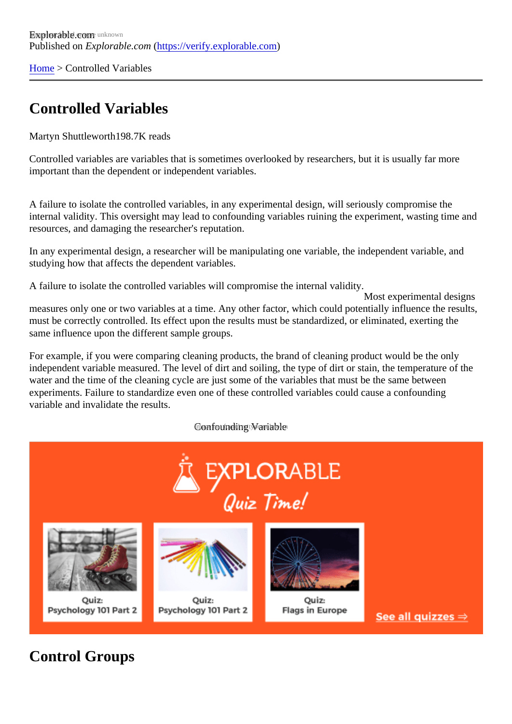[Home](https://verify.explorable.com/)> Controlled Variables

## Controlled Variables

Martyn Shuttleworth98.7K reads

Controlled variables are variables that is sometimes overlooked by researchers, but it is usually far more important than the dependent or independent variables.

A failure to isolate the controlled variables, in any experimental design, will seriously compromise the internal validity. This oversight may lead to confounding variables ruining the experiment, wasting time and resources, and damaging the researcher's reputation.

In any experimental design, a researcher will be manipulating one variable, the independent variable, and studying how that affects the dependent variables.

A failure to isolate the controlled variables will compromise the internal validity.

Most experimental designs measures only one or two variables at a time. Any other factor, which could potentially influence the result must be correctly controlled. Its effect upon the results must be standardized, or eliminated, exerting the same influence upon the different sample groups.

For example, if you were comparing cleaning products, the brand of cleaning product would be the only independent variable measured. The level of dirt and soiling, the type of dirt or stain, the temperature of th water and the time of the cleaning cycle are just some of the variables that must be the same between experiments. Failure to standardize even one of these controlled variables could cause a confounding variable and invalidate the results.

Confounding Wariable not

Control Groups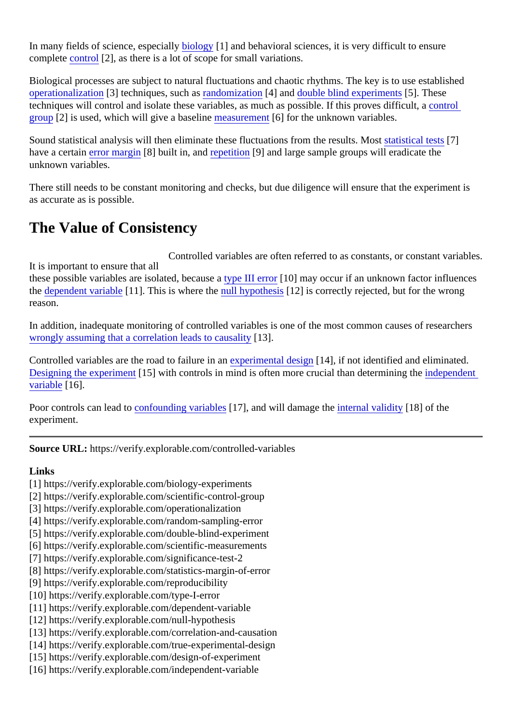In many fields of science, especi[ally biology](https://verify.explorable.com/biology-experiments) [1] and behavioral sciences, it is very difficult to ensure complet[e control](https://verify.explorable.com/scientific-control-group)<sup>[2]</sup>, as there is a lot of scope for small variations.

Biological processes are subject to natural fluctuations and chaotic rhythms. The key is to use established [operationalizatio](https://verify.explorable.com/operationalization)n[3] techniques, such as ndomization[4] and [double blind experimen](https://verify.explorable.com/double-blind-experiment)t<sup>5</sup>]. These techniques will control and isolate these variables, as much as possible. If this proves d[ifficult, a](https://verify.explorable.com/scientific-control-group)  $qroup[2]$  is used, which will give a baselime easurement  $6$ ] for the unknown variables.

Sound statistical analysis will then eliminate these fluctuations from the results the test statistical tests<sup>7</sup>] have a certain rror margin[8] built in, an[d repetition](https://verify.explorable.com/reproducibility)[9] and large sample groups will eradicate the unknown variables.

There still needs to be constant monitoring and checks, but due diligence will ensure that the experiment is as accurate as is possible.

## The Value of Consistency

It is important to ensure that all these possible variables are isolated, becatiseed II error [10] may occur if an unknown factor influences the [dependent variab](https://verify.explorable.com/dependent-variable)le 1]. This is where the ull hypothesis<sup>[12]</sup> is correctly rejected, but for the wrong reason. Controlled variables are often referred to as constants, or constant variable.

In addition, inadequate monitoring of controlled variables is one of the most common causes of researchers [wrongly assuming that a correlation leads to caus](https://verify.explorable.com/correlation-and-causation)ality

Controlled variables are the road to failure in apperimental design 4], if not identified and eliminated. [Designing the experime](https://verify.explorable.com/design-of-experiment)nt [15] with controls in mind is often more crucial than determining the pendent [variable](https://verify.explorable.com/independent-variable)[16].

Poor controls can lead to a founding variables 7], and will damage the ternal validity [18] of the experiment.

Source URL: https://verify.explorable.com/controlled-variables

Links

- [1] https://verify.explorable.com/biology-experiments
- [2] https://verify.explorable.com/scientific-control-group
- [3] https://verify.explorable.com/operationalization
- [4] https://verify.explorable.com/random-sampling-error
- [5] https://verify.explorable.com/double-blind-experiment
- [6] https://verify.explorable.com/scientific-measurements
- [7] https://verify.explorable.com/significance-test-2
- [8] https://verify.explorable.com/statistics-margin-of-error
- [9] https://verify.explorable.com/reproducibility
- [10] https://verify.explorable.com/type-I-error
- [11] https://verify.explorable.com/dependent-variable
- [12] https://verify.explorable.com/null-hypothesis
- [13] https://verify.explorable.com/correlation-and-causation
- [14] https://verify.explorable.com/true-experimental-design
- [15] https://verify.explorable.com/design-of-experiment
- [16] https://verify.explorable.com/independent-variable